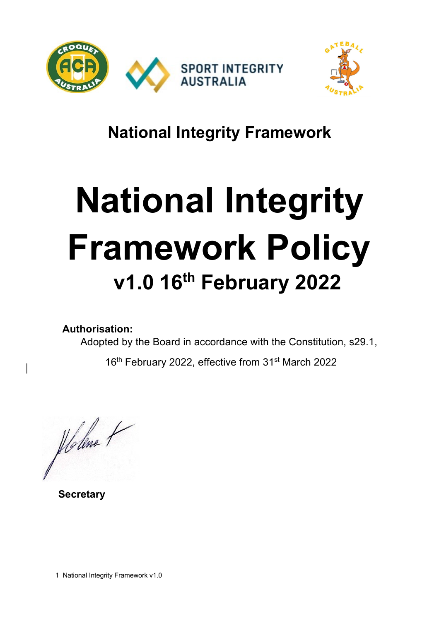



# **National Integrity Framework**

# **National Integrity Framework Policy v1.0 16th February 2022**

**Authorisation:** 

Adopted by the Board in accordance with the Constitution, s29.1,

16<sup>th</sup> February 2022, effective from 31<sup>st</sup> March 2022

flødne t

 **Secretary** 

1 National Integrity Framework v1.0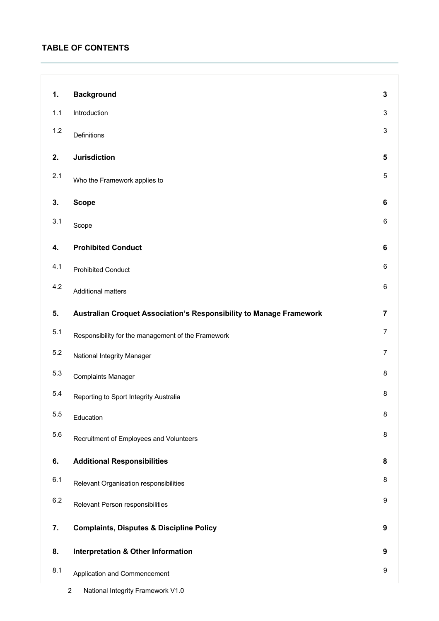# **TABLE OF CONTENTS**

| 1.      | <b>Background</b>                                                   | 3                       |
|---------|---------------------------------------------------------------------|-------------------------|
| $1.1$   | Introduction                                                        | $\mathbf{3}$            |
| 1.2     | Definitions                                                         | 3                       |
| 2.      | <b>Jurisdiction</b>                                                 | 5                       |
| 2.1     | Who the Framework applies to                                        | 5                       |
| 3.      | <b>Scope</b>                                                        | 6                       |
| 3.1     | Scope                                                               | 6                       |
| 4.      | <b>Prohibited Conduct</b>                                           | $\bf 6$                 |
| 4.1     | <b>Prohibited Conduct</b>                                           | 6                       |
| 4.2     | <b>Additional matters</b>                                           | 6                       |
| 5.      | Australian Croquet Association's Responsibility to Manage Framework | $\overline{\mathbf{7}}$ |
| 5.1     | Responsibility for the management of the Framework                  | $\overline{7}$          |
| $5.2\,$ | National Integrity Manager                                          | $\overline{7}$          |
| 5.3     | <b>Complaints Manager</b>                                           | 8                       |
| 5.4     | Reporting to Sport Integrity Australia                              | 8                       |
| $5.5\,$ | Education                                                           | 8                       |
| 5.6     | Recruitment of Employees and Volunteers                             | 8                       |
| 6.      | <b>Additional Responsibilities</b>                                  | 8                       |
| 6.1     | Relevant Organisation responsibilities                              | 8                       |
| $6.2\,$ | Relevant Person responsibilities                                    | 9                       |
| 7.      | <b>Complaints, Disputes &amp; Discipline Policy</b>                 | 9                       |
| 8.      | <b>Interpretation &amp; Other Information</b>                       | 9                       |
| 8.1     | Application and Commencement                                        | 9                       |
|         |                                                                     |                         |

2 National Integrity Framework V1.0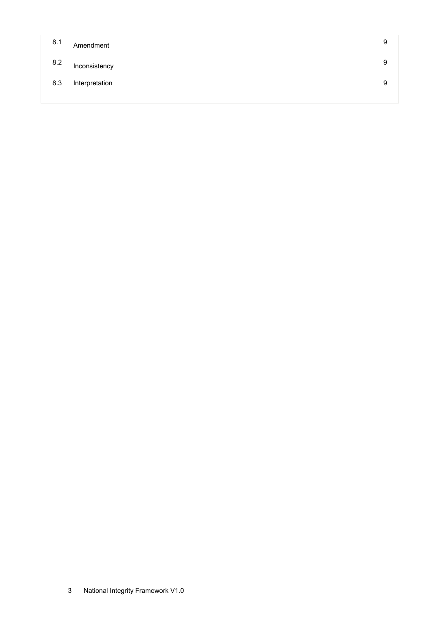| 8.1 | Amendment      | 9 |
|-----|----------------|---|
| 8.2 | Inconsistency  | 9 |
| 8.3 | Interpretation | 9 |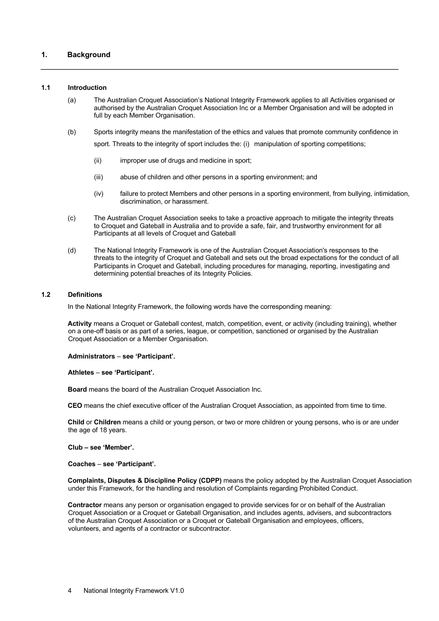# **1. Background**

#### **1.1 Introduction**

- (a) The Australian Croquet Association's National Integrity Framework applies to all Activities organised or authorised by the Australian Croquet Association Inc or a Member Organisation and will be adopted in full by each Member Organisation.
- (b) Sports integrity means the manifestation of the ethics and values that promote community confidence in sport. Threats to the integrity of sport includes the: (i) manipulation of sporting competitions;
	- (ii) improper use of drugs and medicine in sport;
	- (iii) abuse of children and other persons in a sporting environment; and
	- (iv) failure to protect Members and other persons in a sporting environment, from bullying, intimidation, discrimination, or harassment.
- (c) The Australian Croquet Association seeks to take a proactive approach to mitigate the integrity threats to Croquet and Gateball in Australia and to provide a safe, fair, and trustworthy environment for all Participants at all levels of Croquet and Gateball
- (d) The National Integrity Framework is one of the Australian Croquet Association's responses to the threats to the integrity of Croquet and Gateball and sets out the broad expectations for the conduct of all Participants in Croquet and Gateball, including procedures for managing, reporting, investigating and determining potential breaches of its Integrity Policies.

#### **1.2 Definitions**

In the National Integrity Framework, the following words have the corresponding meaning:

**Activity** means a Croquet or Gateball contest, match, competition, event, or activity (including training), whether on a one-off basis or as part of a series, league, or competition, sanctioned or organised by the Australian Croquet Association or a Member Organisation.

#### **Administrators** – **see 'Participant'.**

#### **Athletes** – **see 'Participant'.**

**Board** means the board of the Australian Croquet Association Inc.

**CEO** means the chief executive officer of the Australian Croquet Association, as appointed from time to time.

**Child** or **Children** means a child or young person, or two or more children or young persons, who is or are under the age of 18 years.

#### **Club – see 'Member'.**

**Coaches** – **see 'Participant'.** 

**Complaints, Disputes & Discipline Policy (CDPP)** means the policy adopted by the Australian Croquet Association under this Framework, for the handling and resolution of Complaints regarding Prohibited Conduct.

**Contractor** means any person or organisation engaged to provide services for or on behalf of the Australian Croquet Association or a Croquet or Gateball Organisation, and includes agents, advisers, and subcontractors of the Australian Croquet Association or a Croquet or Gateball Organisation and employees, officers, volunteers, and agents of a contractor or subcontractor.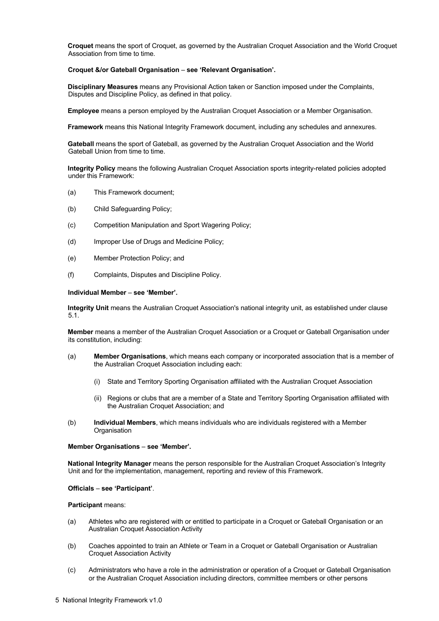**Croquet** means the sport of Croquet, as governed by the Australian Croquet Association and the World Croquet Association from time to time.

#### **Croquet &/or Gateball Organisation** – **see 'Relevant Organisation'.**

**Disciplinary Measures** means any Provisional Action taken or Sanction imposed under the Complaints, Disputes and Discipline Policy, as defined in that policy.

**Employee** means a person employed by the Australian Croquet Association or a Member Organisation.

**Framework** means this National Integrity Framework document, including any schedules and annexures.

**Gateball** means the sport of Gateball, as governed by the Australian Croquet Association and the World Gateball Union from time to time.

**Integrity Policy** means the following Australian Croquet Association sports integrity-related policies adopted under this Framework:

- (a) This Framework document;
- (b) Child Safeguarding Policy;
- (c) Competition Manipulation and Sport Wagering Policy;
- (d) Improper Use of Drugs and Medicine Policy;
- (e) Member Protection Policy; and
- (f) Complaints, Disputes and Discipline Policy.

#### **Individual Member** – **see 'Member'.**

**Integrity Unit** means the Australian Croquet Association's national integrity unit, as established under clause 5.1.

**Member** means a member of the Australian Croquet Association or a Croquet or Gateball Organisation under its constitution, including:

- (a) **Member Organisations**, which means each company or incorporated association that is a member of the Australian Croquet Association including each:
	- (i) State and Territory Sporting Organisation affiliated with the Australian Croquet Association
	- (ii) Regions or clubs that are a member of a State and Territory Sporting Organisation affiliated with the Australian Croquet Association; and
- (b) **Individual Members**, which means individuals who are individuals registered with a Member **Organisation**

#### **Member Organisations** – **see 'Member'.**

**National Integrity Manager** means the person responsible for the Australian Croquet Association's Integrity Unit and for the implementation, management, reporting and review of this Framework.

#### **Officials** – **see 'Participant'**.

#### **Participant** means:

- (a) Athletes who are registered with or entitled to participate in a Croquet or Gateball Organisation or an Australian Croquet Association Activity
- (b) Coaches appointed to train an Athlete or Team in a Croquet or Gateball Organisation or Australian Croquet Association Activity
- (c) Administrators who have a role in the administration or operation of a Croquet or Gateball Organisation or the Australian Croquet Association including directors, committee members or other persons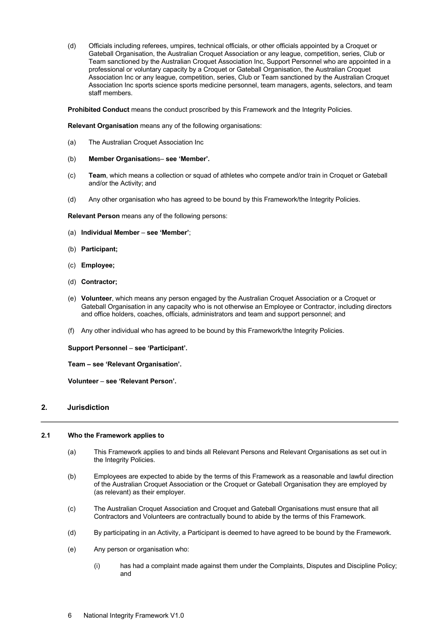(d) Officials including referees, umpires, technical officials, or other officials appointed by a Croquet or Gateball Organisation, the Australian Croquet Association or any league, competition, series, Club or Team sanctioned by the Australian Croquet Association Inc, Support Personnel who are appointed in a professional or voluntary capacity by a Croquet or Gateball Organisation, the Australian Croquet Association Inc or any league, competition, series, Club or Team sanctioned by the Australian Croquet Association Inc sports science sports medicine personnel, team managers, agents, selectors, and team staff members.

**Prohibited Conduct** means the conduct proscribed by this Framework and the Integrity Policies.

**Relevant Organisation** means any of the following organisations:

- (a) The Australian Croquet Association Inc
- (b) **Member Organisation**s– **see 'Member'.**
- (c) **Team**, which means a collection or squad of athletes who compete and/or train in Croquet or Gateball and/or the Activity; and
- (d) Any other organisation who has agreed to be bound by this Framework/the Integrity Policies.

**Relevant Person** means any of the following persons:

- (a) **Individual Member see 'Member'**;
- (b) **Participant;**
- (c) **Employee;**
- (d) **Contractor;**
- (e) **Volunteer**, which means any person engaged by the Australian Croquet Association or a Croquet or Gateball Organisation in any capacity who is not otherwise an Employee or Contractor, including directors and office holders, coaches, officials, administrators and team and support personnel; and
- (f) Any other individual who has agreed to be bound by this Framework/the Integrity Policies.

**Support Personnel** – **see 'Participant'.** 

**Team – see 'Relevant Organisation'.** 

**Volunteer** – **see 'Relevant Person'.** 

# **2. Jurisdiction**

# **2.1 Who the Framework applies to**

- (a) This Framework applies to and binds all Relevant Persons and Relevant Organisations as set out in the Integrity Policies.
- (b) Employees are expected to abide by the terms of this Framework as a reasonable and lawful direction of the Australian Croquet Association or the Croquet or Gateball Organisation they are employed by (as relevant) as their employer.
- (c) The Australian Croquet Association and Croquet and Gateball Organisations must ensure that all Contractors and Volunteers are contractually bound to abide by the terms of this Framework.
- (d) By participating in an Activity, a Participant is deemed to have agreed to be bound by the Framework.
- (e) Any person or organisation who:
	- (i) has had a complaint made against them under the Complaints, Disputes and Discipline Policy; and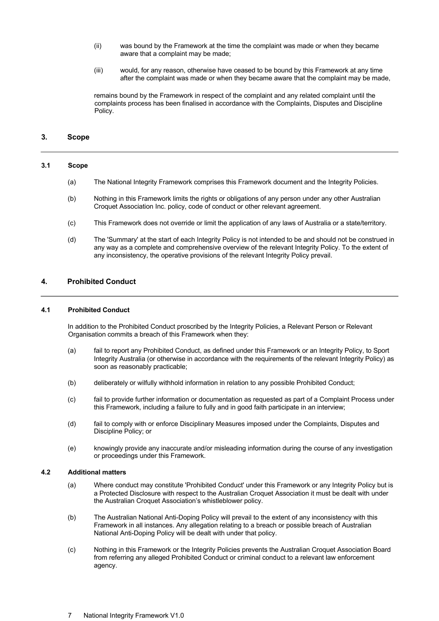- (ii) was bound by the Framework at the time the complaint was made or when they became aware that a complaint may be made;
- (iii) would, for any reason, otherwise have ceased to be bound by this Framework at any time after the complaint was made or when they became aware that the complaint may be made,

remains bound by the Framework in respect of the complaint and any related complaint until the complaints process has been finalised in accordance with the Complaints, Disputes and Discipline Policy.

# **3. Scope**

## **3.1 Scope**

- (a) The National Integrity Framework comprises this Framework document and the Integrity Policies.
- (b) Nothing in this Framework limits the rights or obligations of any person under any other Australian Croquet Association Inc. policy, code of conduct or other relevant agreement.
- (c) This Framework does not override or limit the application of any laws of Australia or a state/territory.
- (d) The 'Summary' at the start of each Integrity Policy is not intended to be and should not be construed in any way as a complete and comprehensive overview of the relevant Integrity Policy. To the extent of any inconsistency, the operative provisions of the relevant Integrity Policy prevail.

#### **4. Prohibited Conduct**

#### **4.1 Prohibited Conduct**

In addition to the Prohibited Conduct proscribed by the Integrity Policies, a Relevant Person or Relevant Organisation commits a breach of this Framework when they:

- (a) fail to report any Prohibited Conduct, as defined under this Framework or an Integrity Policy, to Sport Integrity Australia (or otherwise in accordance with the requirements of the relevant Integrity Policy) as soon as reasonably practicable;
- (b) deliberately or wilfully withhold information in relation to any possible Prohibited Conduct;
- (c) fail to provide further information or documentation as requested as part of a Complaint Process under this Framework, including a failure to fully and in good faith participate in an interview;
- (d) fail to comply with or enforce Disciplinary Measures imposed under the Complaints, Disputes and Discipline Policy; or
- (e) knowingly provide any inaccurate and/or misleading information during the course of any investigation or proceedings under this Framework.

#### **4.2 Additional matters**

- (a) Where conduct may constitute 'Prohibited Conduct' under this Framework or any Integrity Policy but is a Protected Disclosure with respect to the Australian Croquet Association it must be dealt with under the Australian Croquet Association's whistleblower policy.
- (b) The Australian National Anti-Doping Policy will prevail to the extent of any inconsistency with this Framework in all instances. Any allegation relating to a breach or possible breach of Australian National Anti-Doping Policy will be dealt with under that policy.
- (c) Nothing in this Framework or the Integrity Policies prevents the Australian Croquet Association Board from referring any alleged Prohibited Conduct or criminal conduct to a relevant law enforcement agency.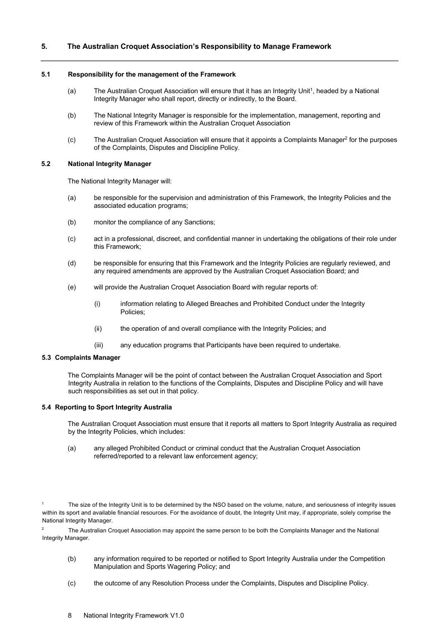# **5. The Australian Croquet Association's Responsibility to Manage Framework**

#### **5.1 Responsibility for the management of the Framework**

- (a) The Australian Croquet Association will ensure that it has an Integrity Unit<sup>1</sup>, headed by a National Integrity Manager who shall report, directly or indirectly, to the Board.
- (b) The National Integrity Manager is responsible for the implementation, management, reporting and review of this Framework within the Australian Croquet Association
- (c) The Australian Croquet Association will ensure that it appoints a Complaints Manager<sup>2</sup> for the purposes of the Complaints, Disputes and Discipline Policy.

#### **5.2 National Integrity Manager**

The National Integrity Manager will:

- (a) be responsible for the supervision and administration of this Framework, the Integrity Policies and the associated education programs;
- (b) monitor the compliance of any Sanctions;
- (c) act in a professional, discreet, and confidential manner in undertaking the obligations of their role under this Framework;
- (d) be responsible for ensuring that this Framework and the Integrity Policies are regularly reviewed, and any required amendments are approved by the Australian Croquet Association Board; and
- (e) will provide the Australian Croquet Association Board with regular reports of:
	- (i) information relating to Alleged Breaches and Prohibited Conduct under the Integrity Policies;
	- (ii) the operation of and overall compliance with the Integrity Policies; and
	- (iii) any education programs that Participants have been required to undertake.

#### **5.3 Complaints Manager**

The Complaints Manager will be the point of contact between the Australian Croquet Association and Sport Integrity Australia in relation to the functions of the Complaints, Disputes and Discipline Policy and will have such responsibilities as set out in that policy.

# **5.4 Reporting to Sport Integrity Australia**

The Australian Croquet Association must ensure that it reports all matters to Sport Integrity Australia as required by the Integrity Policies, which includes:

(a) any alleged Prohibited Conduct or criminal conduct that the Australian Croquet Association referred/reported to a relevant law enforcement agency;

<sup>2</sup> The Australian Croquet Association may appoint the same person to be both the Complaints Manager and the National Integrity Manager.

- (b) any information required to be reported or notified to Sport Integrity Australia under the Competition Manipulation and Sports Wagering Policy; and
- (c) the outcome of any Resolution Process under the Complaints, Disputes and Discipline Policy.

The size of the Integrity Unit is to be determined by the NSO based on the volume, nature, and seriousness of integrity issues within its sport and available financial resources. For the avoidance of doubt, the Integrity Unit may, if appropriate, solely comprise the National Integrity Manager.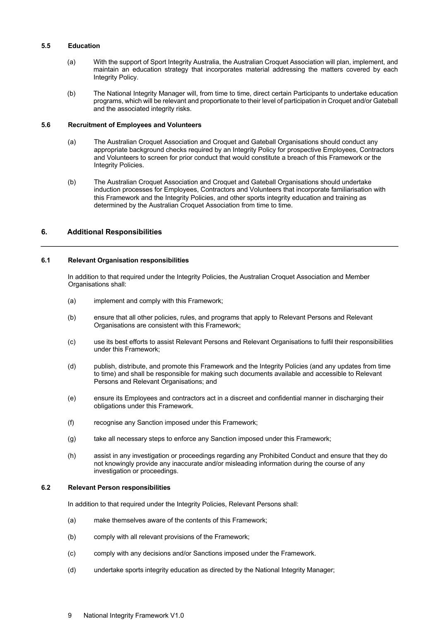#### **5.5 Education**

- (a) With the support of Sport Integrity Australia, the Australian Croquet Association will plan, implement, and maintain an education strategy that incorporates material addressing the matters covered by each Integrity Policy.
- (b) The National Integrity Manager will, from time to time, direct certain Participants to undertake education programs, which will be relevant and proportionate to their level of participation in Croquet and/or Gateball and the associated integrity risks.

## **5.6 Recruitment of Employees and Volunteers**

- (a) The Australian Croquet Association and Croquet and Gateball Organisations should conduct any appropriate background checks required by an Integrity Policy for prospective Employees, Contractors and Volunteers to screen for prior conduct that would constitute a breach of this Framework or the Integrity Policies.
- (b) The Australian Croquet Association and Croquet and Gateball Organisations should undertake induction processes for Employees, Contractors and Volunteers that incorporate familiarisation with this Framework and the Integrity Policies, and other sports integrity education and training as determined by the Australian Croquet Association from time to time.

# **6. Additional Responsibilities**

#### **6.1 Relevant Organisation responsibilities**

In addition to that required under the Integrity Policies, the Australian Croquet Association and Member Organisations shall:

- (a) implement and comply with this Framework;
- (b) ensure that all other policies, rules, and programs that apply to Relevant Persons and Relevant Organisations are consistent with this Framework;
- (c) use its best efforts to assist Relevant Persons and Relevant Organisations to fulfil their responsibilities under this Framework;
- (d) publish, distribute, and promote this Framework and the Integrity Policies (and any updates from time to time) and shall be responsible for making such documents available and accessible to Relevant Persons and Relevant Organisations; and
- (e) ensure its Employees and contractors act in a discreet and confidential manner in discharging their obligations under this Framework.
- (f) recognise any Sanction imposed under this Framework;
- (g) take all necessary steps to enforce any Sanction imposed under this Framework;
- (h) assist in any investigation or proceedings regarding any Prohibited Conduct and ensure that they do not knowingly provide any inaccurate and/or misleading information during the course of any investigation or proceedings.

#### **6.2 Relevant Person responsibilities**

In addition to that required under the Integrity Policies, Relevant Persons shall:

- (a) make themselves aware of the contents of this Framework;
- (b) comply with all relevant provisions of the Framework;
- (c) comply with any decisions and/or Sanctions imposed under the Framework.
- (d) undertake sports integrity education as directed by the National Integrity Manager;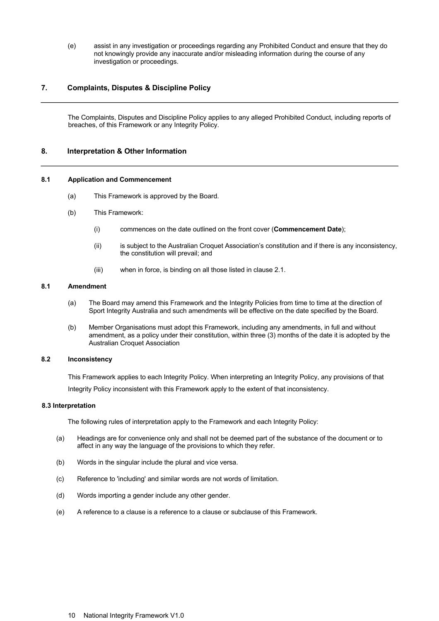(e) assist in any investigation or proceedings regarding any Prohibited Conduct and ensure that they do not knowingly provide any inaccurate and/or misleading information during the course of any investigation or proceedings.

# **7. Complaints, Disputes & Discipline Policy**

The Complaints, Disputes and Discipline Policy applies to any alleged Prohibited Conduct, including reports of breaches, of this Framework or any Integrity Policy.

## **8. Interpretation & Other Information**

#### **8.1 Application and Commencement**

- (a) This Framework is approved by the Board.
- (b) This Framework:
	- (i) commences on the date outlined on the front cover (**Commencement Date**);
	- (ii) is subject to the Australian Croquet Association's constitution and if there is any inconsistency, the constitution will prevail; and
	- (iii) when in force, is binding on all those listed in clause 2.1.

# **8.1 Amendment**

- (a) The Board may amend this Framework and the Integrity Policies from time to time at the direction of Sport Integrity Australia and such amendments will be effective on the date specified by the Board.
- (b) Member Organisations must adopt this Framework, including any amendments, in full and without amendment, as a policy under their constitution, within three (3) months of the date it is adopted by the Australian Croquet Association

# **8.2 Inconsistency**

This Framework applies to each Integrity Policy. When interpreting an Integrity Policy, any provisions of that Integrity Policy inconsistent with this Framework apply to the extent of that inconsistency.

#### **8.3 Interpretation**

The following rules of interpretation apply to the Framework and each Integrity Policy:

- (a) Headings are for convenience only and shall not be deemed part of the substance of the document or to affect in any way the language of the provisions to which they refer.
- (b) Words in the singular include the plural and vice versa.
- (c) Reference to 'including' and similar words are not words of limitation.
- (d) Words importing a gender include any other gender.
- (e) A reference to a clause is a reference to a clause or subclause of this Framework.